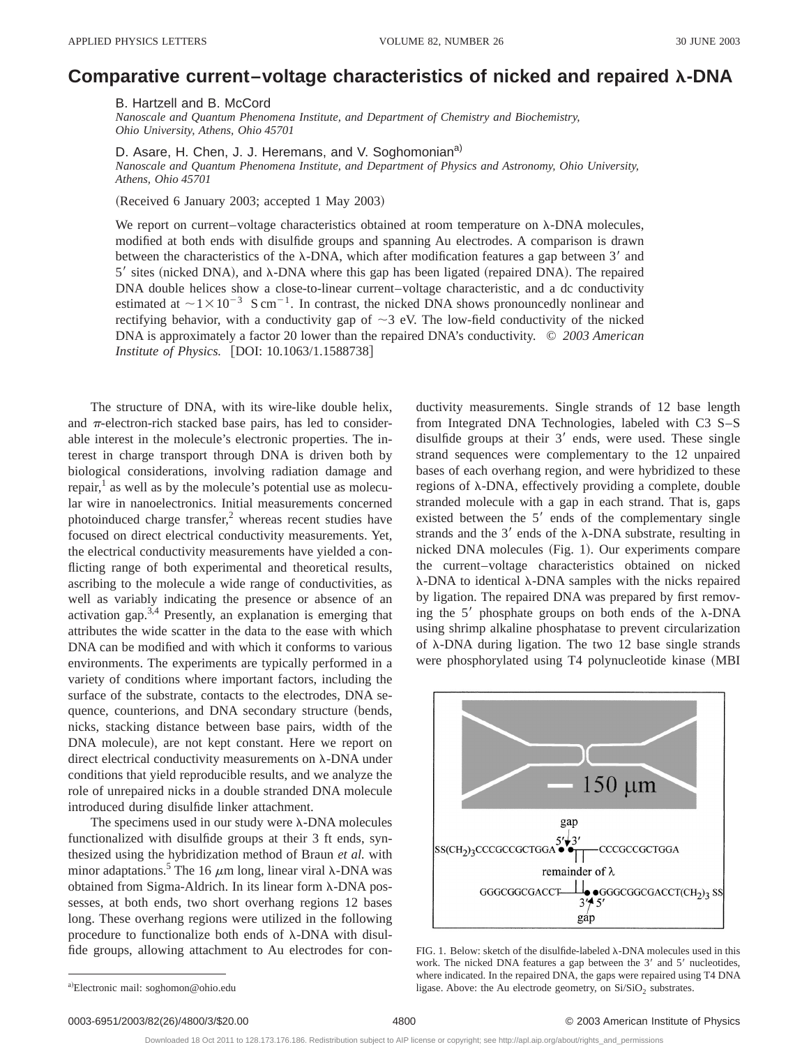## **Comparative current–voltage characteristics of nicked and repaired** l**-DNA**

B. Hartzell and B. McCord

*Nanoscale and Quantum Phenomena Institute, and Department of Chemistry and Biochemistry, Ohio University, Athens, Ohio 45701*

D. Asare, H. Chen, J. J. Heremans, and V. Soghomonian<sup>a)</sup>

*Nanoscale and Quantum Phenomena Institute, and Department of Physics and Astronomy, Ohio University, Athens, Ohio 45701*

(Received 6 January 2003; accepted 1 May 2003)

We report on current–voltage characteristics obtained at room temperature on  $\lambda$ -DNA molecules, modified at both ends with disulfide groups and spanning Au electrodes. A comparison is drawn between the characteristics of the  $\lambda$ -DNA, which after modification features a gap between 3' and  $5'$  sites (nicked DNA), and  $\lambda$ -DNA where this gap has been ligated (repaired DNA). The repaired DNA double helices show a close-to-linear current–voltage characteristic, and a dc conductivity estimated at  $\sim$  1 $\times$  10<sup>-3</sup> S cm<sup>-1</sup>. In contrast, the nicked DNA shows pronouncedly nonlinear and rectifying behavior, with a conductivity gap of  $\sim$ 3 eV. The low-field conductivity of the nicked DNA is approximately a factor 20 lower than the repaired DNA's conductivity. © *2003 American Institute of Physics.* [DOI: 10.1063/1.1588738]

The structure of DNA, with its wire-like double helix, and  $\pi$ -electron-rich stacked base pairs, has led to considerable interest in the molecule's electronic properties. The interest in charge transport through DNA is driven both by biological considerations, involving radiation damage and repair, $<sup>1</sup>$  as well as by the molecule's potential use as molecu-</sup> lar wire in nanoelectronics. Initial measurements concerned photoinduced charge transfer, $<sup>2</sup>$  whereas recent studies have</sup> focused on direct electrical conductivity measurements. Yet, the electrical conductivity measurements have yielded a conflicting range of both experimental and theoretical results, ascribing to the molecule a wide range of conductivities, as well as variably indicating the presence or absence of an activation gap. $3,4$  Presently, an explanation is emerging that attributes the wide scatter in the data to the ease with which DNA can be modified and with which it conforms to various environments. The experiments are typically performed in a variety of conditions where important factors, including the surface of the substrate, contacts to the electrodes, DNA sequence, counterions, and DNA secondary structure (bends, nicks, stacking distance between base pairs, width of the DNA molecule), are not kept constant. Here we report on direct electrical conductivity measurements on  $\lambda$ -DNA under conditions that yield reproducible results, and we analyze the role of unrepaired nicks in a double stranded DNA molecule introduced during disulfide linker attachment.

The specimens used in our study were  $\lambda$ -DNA molecules functionalized with disulfide groups at their 3 ft ends, synthesized using the hybridization method of Braun *et al.* with minor adaptations.<sup>5</sup> The 16  $\mu$ m long, linear viral  $\lambda$ -DNA was obtained from Sigma-Aldrich. In its linear form  $\lambda$ -DNA possesses, at both ends, two short overhang regions 12 bases long. These overhang regions were utilized in the following procedure to functionalize both ends of  $\lambda$ -DNA with disulfide groups, allowing attachment to Au electrodes for conductivity measurements. Single strands of 12 base length from Integrated DNA Technologies, labeled with C3 S–S disulfide groups at their  $3'$  ends, were used. These single strand sequences were complementary to the 12 unpaired bases of each overhang region, and were hybridized to these regions of λ-DNA, effectively providing a complete, double stranded molecule with a gap in each strand. That is, gaps existed between the  $5'$  ends of the complementary single strands and the  $3'$  ends of the  $\lambda$ -DNA substrate, resulting in nicked DNA molecules (Fig. 1). Our experiments compare the current–voltage characteristics obtained on nicked  $\lambda$ -DNA to identical  $\lambda$ -DNA samples with the nicks repaired by ligation. The repaired DNA was prepared by first removing the  $5'$  phosphate groups on both ends of the  $\lambda$ -DNA using shrimp alkaline phosphatase to prevent circularization of  $\lambda$ -DNA during ligation. The two 12 base single strands were phosphorylated using T4 polynucleotide kinase (MBI



FIG. 1. Below: sketch of the disulfide-labeled  $\lambda$ -DNA molecules used in this work. The nicked DNA features a gap between the  $3'$  and  $5'$  nucleotides, where indicated. In the repaired DNA, the gaps were repaired using T4 DNA ligase. Above: the Au electrode geometry, on  $Si/SiO<sub>2</sub>$  substrates.

a)Electronic mail: soghomon@ohio.edu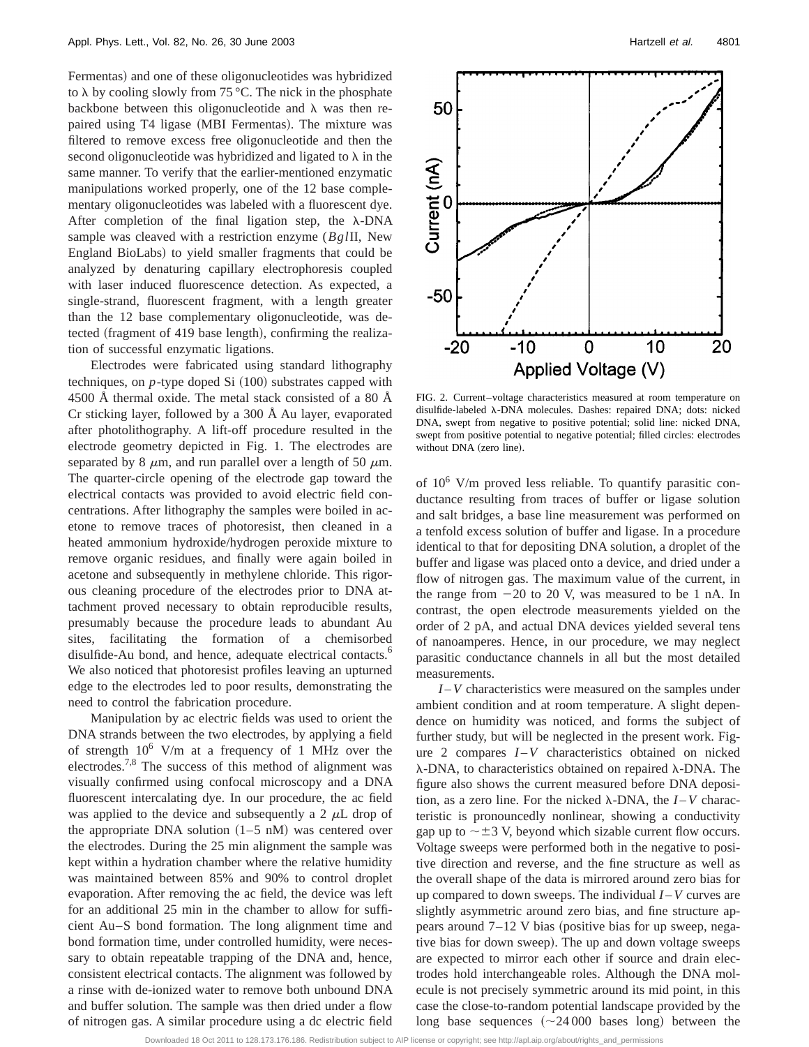Fermentas) and one of these oligonucleotides was hybridized to  $\lambda$  by cooling slowly from 75 °C. The nick in the phosphate backbone between this oligonucleotide and  $\lambda$  was then repaired using T4 ligase (MBI Fermentas). The mixture was filtered to remove excess free oligonucleotide and then the second oligonucleotide was hybridized and ligated to  $\lambda$  in the same manner. To verify that the earlier-mentioned enzymatic manipulations worked properly, one of the 12 base complementary oligonucleotides was labeled with a fluorescent dye. After completion of the final ligation step, the  $\lambda$ -DNA sample was cleaved with a restriction enzyme (*Bgl*II, New England BioLabs) to yield smaller fragments that could be analyzed by denaturing capillary electrophoresis coupled with laser induced fluorescence detection. As expected, a single-strand, fluorescent fragment, with a length greater than the 12 base complementary oligonucleotide, was detected (fragment of 419 base length), confirming the realization of successful enzymatic ligations.

Electrodes were fabricated using standard lithography techniques, on  $p$ -type doped Si  $(100)$  substrates capped with 4500 Å thermal oxide. The metal stack consisted of a 80 Å Cr sticking layer, followed by a 300 Å Au layer, evaporated after photolithography. A lift-off procedure resulted in the electrode geometry depicted in Fig. 1. The electrodes are separated by 8  $\mu$ m, and run parallel over a length of 50  $\mu$ m. The quarter-circle opening of the electrode gap toward the electrical contacts was provided to avoid electric field concentrations. After lithography the samples were boiled in acetone to remove traces of photoresist, then cleaned in a heated ammonium hydroxide/hydrogen peroxide mixture to remove organic residues, and finally were again boiled in acetone and subsequently in methylene chloride. This rigorous cleaning procedure of the electrodes prior to DNA attachment proved necessary to obtain reproducible results, presumably because the procedure leads to abundant Au sites, facilitating the formation of a chemisorbed disulfide-Au bond, and hence, adequate electrical contacts.<sup>6</sup> We also noticed that photoresist profiles leaving an upturned edge to the electrodes led to poor results, demonstrating the need to control the fabrication procedure.

Manipulation by ac electric fields was used to orient the DNA strands between the two electrodes, by applying a field of strength  $10^6$  V/m at a frequency of 1 MHz over the electrodes.7,8 The success of this method of alignment was visually confirmed using confocal microscopy and a DNA fluorescent intercalating dye. In our procedure, the ac field was applied to the device and subsequently a 2  $\mu$ L drop of the appropriate DNA solution  $(1–5 \text{ nM})$  was centered over the electrodes. During the 25 min alignment the sample was kept within a hydration chamber where the relative humidity was maintained between 85% and 90% to control droplet evaporation. After removing the ac field, the device was left for an additional 25 min in the chamber to allow for sufficient Au–S bond formation. The long alignment time and bond formation time, under controlled humidity, were necessary to obtain repeatable trapping of the DNA and, hence, consistent electrical contacts. The alignment was followed by a rinse with de-ionized water to remove both unbound DNA and buffer solution. The sample was then dried under a flow of nitrogen gas. A similar procedure using a dc electric field



FIG. 2. Current–voltage characteristics measured at room temperature on disulfide-labeled λ-DNA molecules. Dashes: repaired DNA; dots: nicked DNA, swept from negative to positive potential; solid line: nicked DNA, swept from positive potential to negative potential; filled circles: electrodes without DNA (zero line).

of 106 V/m proved less reliable. To quantify parasitic conductance resulting from traces of buffer or ligase solution and salt bridges, a base line measurement was performed on a tenfold excess solution of buffer and ligase. In a procedure identical to that for depositing DNA solution, a droplet of the buffer and ligase was placed onto a device, and dried under a flow of nitrogen gas. The maximum value of the current, in the range from  $-20$  to 20 V, was measured to be 1 nA. In contrast, the open electrode measurements yielded on the order of 2 pA, and actual DNA devices yielded several tens of nanoamperes. Hence, in our procedure, we may neglect parasitic conductance channels in all but the most detailed measurements.

*I* –*V* characteristics were measured on the samples under ambient condition and at room temperature. A slight dependence on humidity was noticed, and forms the subject of further study, but will be neglected in the present work. Figure 2 compares *I* –*V* characteristics obtained on nicked  $\lambda$ -DNA, to characteristics obtained on repaired  $\lambda$ -DNA. The figure also shows the current measured before DNA deposition, as a zero line. For the nicked  $\lambda$ -DNA, the  $I-V$  characteristic is pronouncedly nonlinear, showing a conductivity gap up to  $\sim \pm 3$  V, beyond which sizable current flow occurs. Voltage sweeps were performed both in the negative to positive direction and reverse, and the fine structure as well as the overall shape of the data is mirrored around zero bias for up compared to down sweeps. The individual *I* –*V* curves are slightly asymmetric around zero bias, and fine structure appears around  $7-12$  V bias (positive bias for up sweep, negative bias for down sweep). The up and down voltage sweeps are expected to mirror each other if source and drain electrodes hold interchangeable roles. Although the DNA molecule is not precisely symmetric around its mid point, in this case the close-to-random potential landscape provided by the long base sequences  $({\sim}24\,000$  bases long) between the